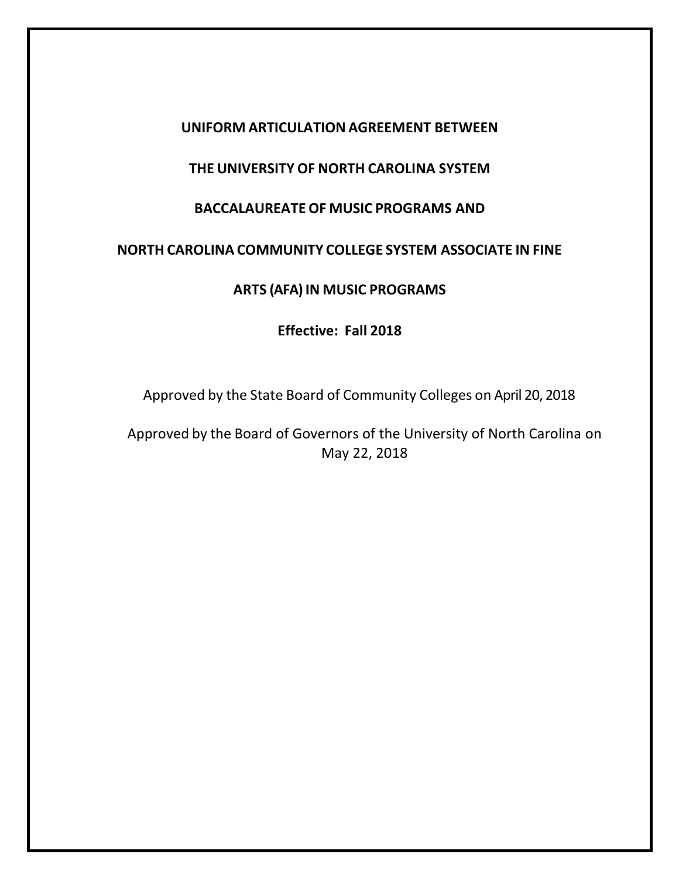### **UNIFORM ARTICULATION AGREEMENT BETWEEN**

# **THE UNIVERSITY OF NORTH CAROLINA SYSTEM**

# **BACCALAUREATE OF MUSIC PROGRAMS AND**

# **NORTH CAROLINA COMMUNITY COLLEGE SYSTEM ASSOCIATE IN FINE**

### **ARTS (AFA) IN MUSIC PROGRAMS**

**Effective: Fall 2018**

Approved by the State Board of Community Colleges on April 20, 2018

Approved by the Board of Governors of the University of North Carolina on May 22, 2018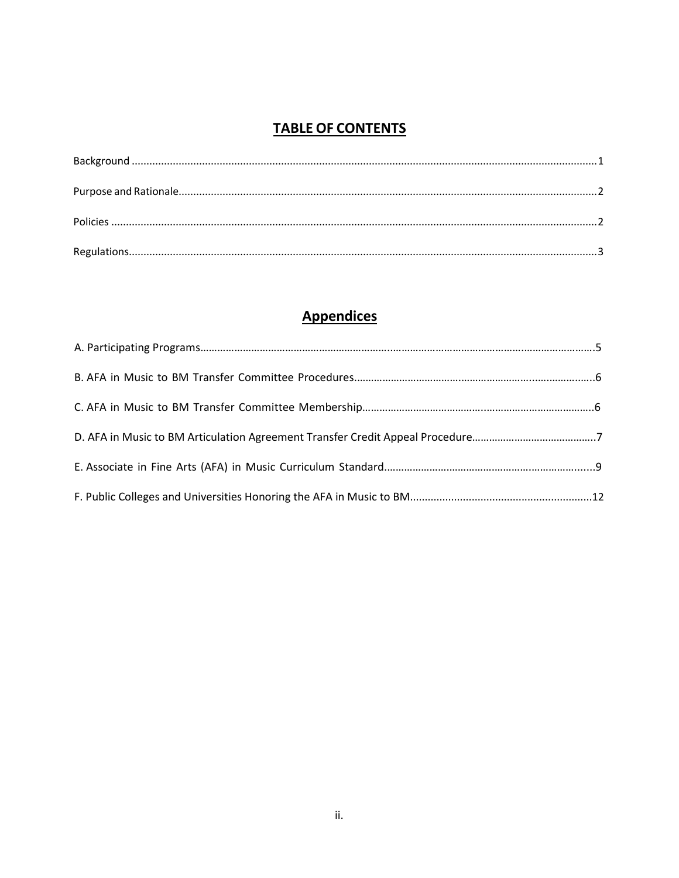# **TABLE OF CONTENTS**

# **Appendices**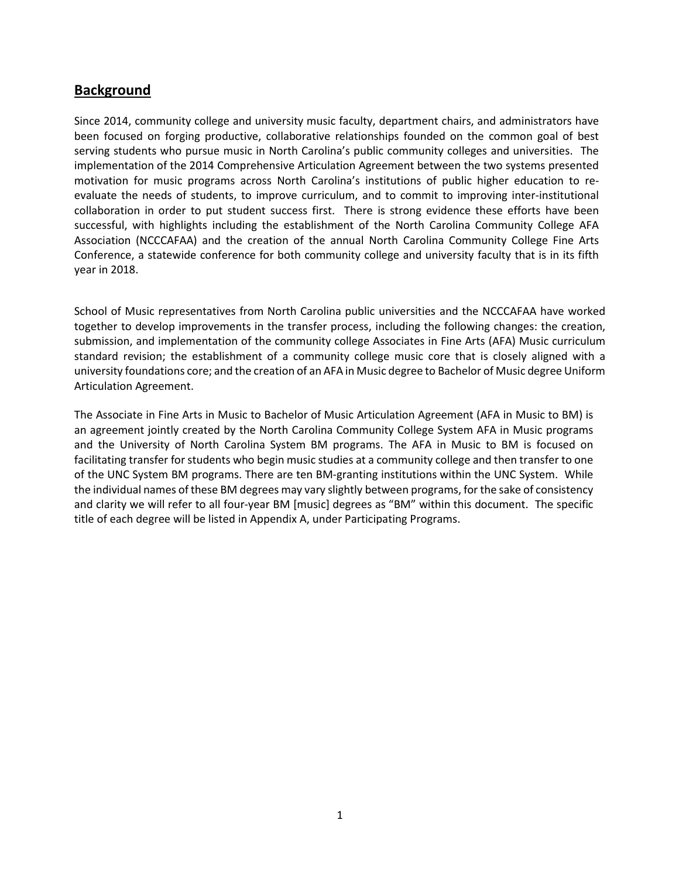### <span id="page-2-0"></span>**Background**

Since 2014, community college and university music faculty, department chairs, and administrators have been focused on forging productive, collaborative relationships founded on the common goal of best serving students who pursue music in North Carolina's public community colleges and universities. The implementation of the 2014 Comprehensive Articulation Agreement between the two systems presented motivation for music programs across North Carolina's institutions of public higher education to reevaluate the needs of students, to improve curriculum, and to commit to improving inter-institutional collaboration in order to put student success first. There is strong evidence these efforts have been successful, with highlights including the establishment of the North Carolina Community College AFA Association (NCCCAFAA) and the creation of the annual North Carolina Community College Fine Arts Conference, a statewide conference for both community college and university faculty that is in its fifth year in 2018.

School of Music representatives from North Carolina public universities and the NCCCAFAA have worked together to develop improvements in the transfer process, including the following changes: the creation, submission, and implementation of the community college Associates in Fine Arts (AFA) Music curriculum standard revision; the establishment of a community college music core that is closely aligned with a university foundations core; and the creation of an AFA in Music degree to Bachelor of Music degree Uniform Articulation Agreement.

The Associate in Fine Arts in Music to Bachelor of Music Articulation Agreement (AFA in Music to BM) is an agreement jointly created by the North Carolina Community College System AFA in Music programs and the University of North Carolina System BM programs. The AFA in Music to BM is focused on facilitating transfer for students who begin music studies at a community college and then transfer to one of the UNC System BM programs. There are ten BM-granting institutions within the UNC System. While the individual names of these BM degrees may vary slightly between programs, for the sake of consistency and clarity we will refer to all four-year BM [music] degrees as "BM" within this document. The specific title of each degree will be listed in Appendix A, under Participating Programs.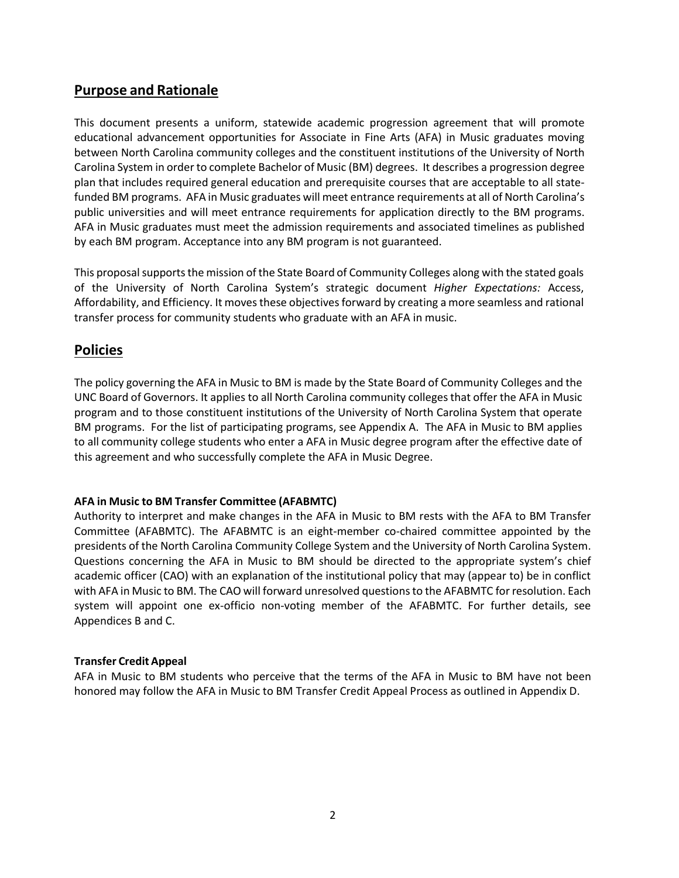### <span id="page-3-0"></span>**Purpose and Rationale**

This document presents a uniform, statewide academic progression agreement that will promote educational advancement opportunities for Associate in Fine Arts (AFA) in Music graduates moving between North Carolina community colleges and the constituent institutions of the University of North Carolina System in order to complete Bachelor of Music (BM) degrees. It describes a progression degree plan that includes required general education and prerequisite courses that are acceptable to all statefunded BM programs. AFA in Music graduates will meet entrance requirements at all of North Carolina's public universities and will meet entrance requirements for application directly to the BM programs. AFA in Music graduates must meet the admission requirements and associated timelines as published by each BM program. Acceptance into any BM program is not guaranteed.

This proposal supports the mission of the State Board of Community Colleges along with the stated goals of the University of North Carolina System's strategic document *Higher Expectations:* Access, Affordability, and Efficiency. It moves these objectivesforward by creating a more seamless and rational transfer process for community students who graduate with an AFA in music.

## <span id="page-3-1"></span>**Policies**

The policy governing the AFA in Music to BM is made by the State Board of Community Colleges and the UNC Board of Governors. It applies to all North Carolina community collegesthat offer the AFA in Music program and to those constituent institutions of the University of North Carolina System that operate BM programs. For the list of participating programs, see Appendix A. The AFA in Music to BM applies to all community college students who enter a AFA in Music degree program after the effective date of this agreement and who successfully complete the AFA in Music Degree.

### **AFA in Music to BM Transfer Committee (AFABMTC)**

Authority to interpret and make changes in the AFA in Music to BM rests with the AFA to BM Transfer Committee (AFABMTC). The AFABMTC is an eight-member co-chaired committee appointed by the presidents of the North Carolina Community College System and the University of North Carolina System. Questions concerning the AFA in Music to BM should be directed to the appropriate system's chief academic officer (CAO) with an explanation of the institutional policy that may (appear to) be in conflict with AFA in Music to BM. The CAO will forward unresolved questions to the AFABMTC for resolution. Each system will appoint one ex-officio non-voting member of the AFABMTC. For further details, see Appendices B and C.

### **Transfer Credit Appeal**

<span id="page-3-2"></span>AFA in Music to BM students who perceive that the terms of the AFA in Music to BM have not been honored may follow the AFA in Music to BM Transfer Credit Appeal Process as outlined in Appendix D.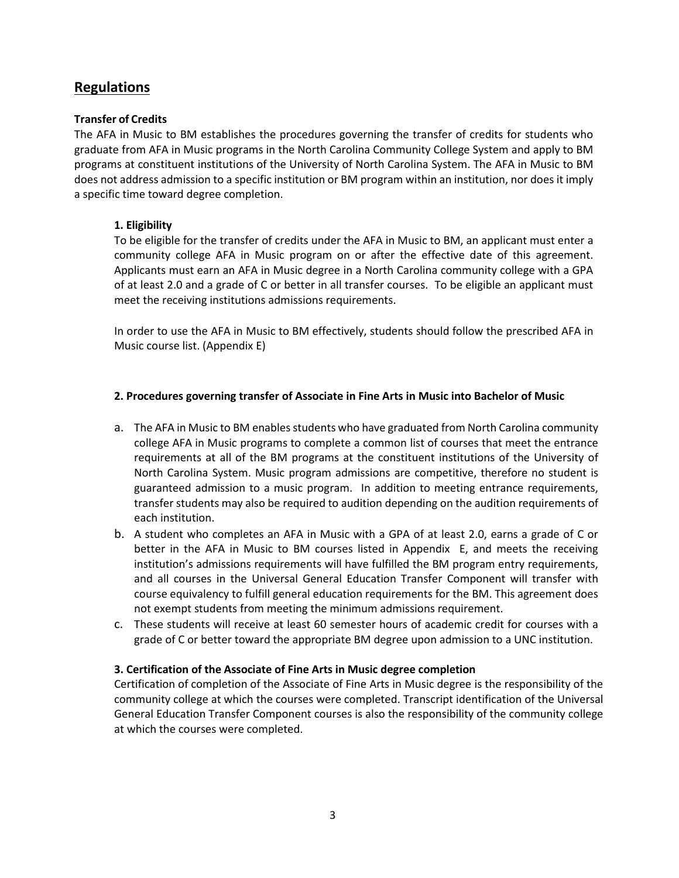## **Regulations**

### **Transfer of Credits**

The AFA in Music to BM establishes the procedures governing the transfer of credits for students who graduate from AFA in Music programs in the North Carolina Community College System and apply to BM programs at constituent institutions of the University of North Carolina System. The AFA in Music to BM does not address admission to a specific institution or BM program within an institution, nor does it imply a specific time toward degree completion.

### **1. Eligibility**

To be eligible for the transfer of credits under the AFA in Music to BM, an applicant must enter a community college AFA in Music program on or after the effective date of this agreement. Applicants must earn an AFA in Music degree in a North Carolina community college with a GPA of at least 2.0 and a grade of C or better in all transfer courses. To be eligible an applicant must meet the receiving institutions admissions requirements.

In order to use the AFA in Music to BM effectively, students should follow the prescribed AFA in Music course list. (Appendix E)

### **2. Procedures governing transfer of Associate in Fine Arts in Music into Bachelor of Music**

- a. The AFA in Music to BM enables students who have graduated from North Carolina community college AFA in Music programs to complete a common list of courses that meet the entrance requirements at all of the BM programs at the constituent institutions of the University of North Carolina System. Music program admissions are competitive, therefore no student is guaranteed admission to a music program. In addition to meeting entrance requirements, transfer students may also be required to audition depending on the audition requirements of each institution.
- b. A student who completes an AFA in Music with a GPA of at least 2.0, earns a grade of C or better in the AFA in Music to BM courses listed in Appendix E, and meets the receiving institution's admissions requirements will have fulfilled the BM program entry requirements, and all courses in the Universal General Education Transfer Component will transfer with course equivalency to fulfill general education requirements for the BM. This agreement does not exempt students from meeting the minimum admissions requirement.
- c. These students will receive at least 60 semester hours of academic credit for courses with a grade of C or better toward the appropriate BM degree upon admission to a UNC institution.

### **3. Certification of the Associate of Fine Arts in Music degree completion**

Certification of completion of the Associate of Fine Arts in Music degree is the responsibility of the community college at which the courses were completed. Transcript identification of the Universal General Education Transfer Component courses is also the responsibility of the community college at which the courses were completed.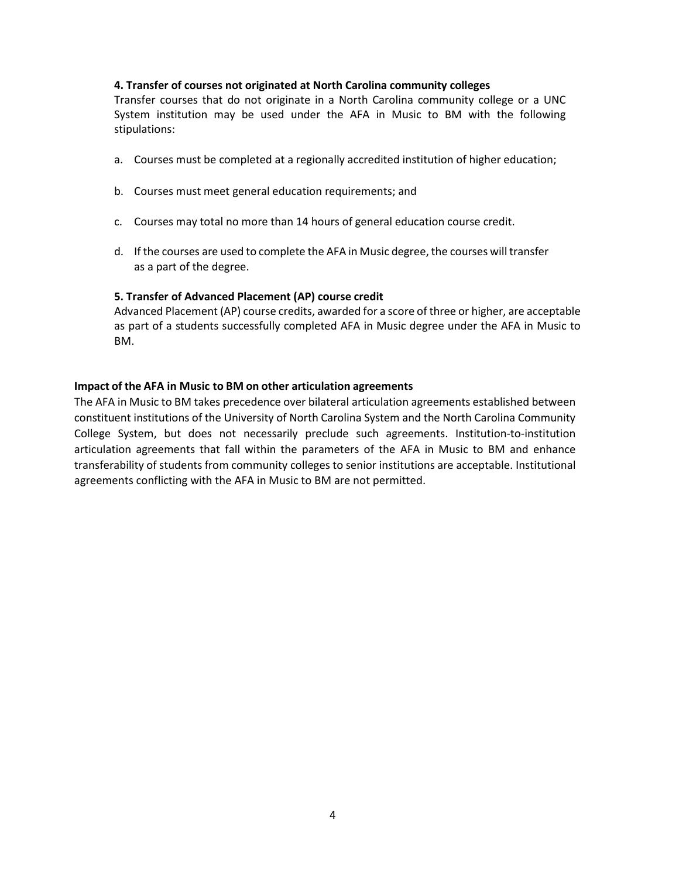#### **4. Transfer of courses not originated at North Carolina community colleges**

Transfer courses that do not originate in a North Carolina community college or a UNC System institution may be used under the AFA in Music to BM with the following stipulations:

- a. Courses must be completed at a regionally accredited institution of higher education;
- b. Courses must meet general education requirements; and
- c. Courses may total no more than 14 hours of general education course credit.
- d. If the courses are used to complete the AFA in Music degree, the courses will transfer as a part of the degree.

#### **5. Transfer of Advanced Placement (AP) course credit**

Advanced Placement (AP) course credits, awarded for a score of three or higher, are acceptable as part of a students successfully completed AFA in Music degree under the AFA in Music to BM.

#### **Impact of the AFA in Music to BM on other articulation agreements**

The AFA in Music to BM takes precedence over bilateral articulation agreements established between constituent institutions of the University of North Carolina System and the North Carolina Community College System, but does not necessarily preclude such agreements. Institution-to-institution articulation agreements that fall within the parameters of the AFA in Music to BM and enhance transferability of students from community colleges to senior institutions are acceptable. Institutional agreements conflicting with the AFA in Music to BM are not permitted.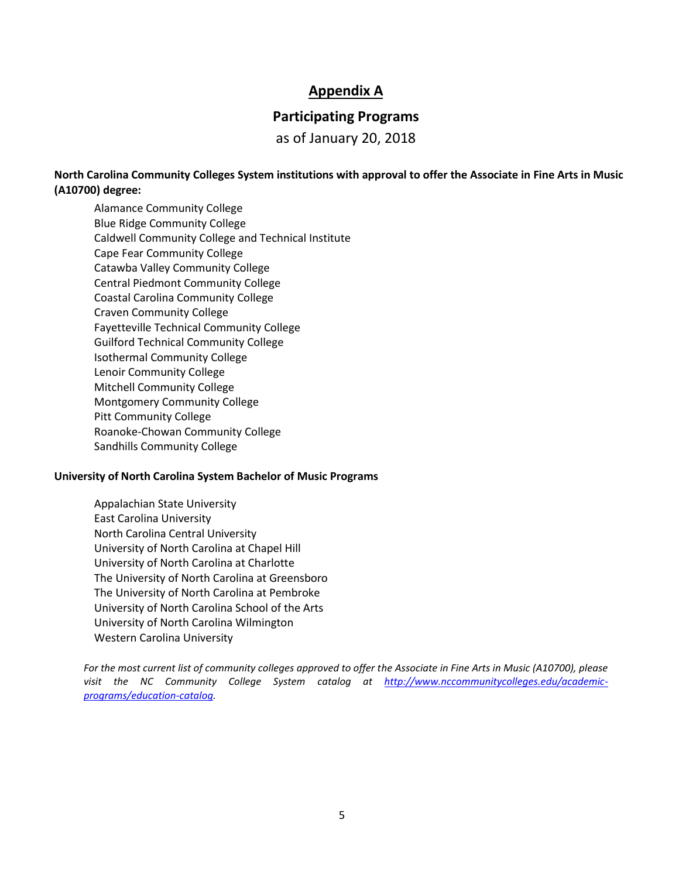### **Appendix A**

### **Participating Programs**

as of January 20, 2018

**North Carolina Community Colleges System institutions with approval to offer the Associate in Fine Arts in Music (A10700) degree:**

Alamance Community College Blue Ridge Community College Caldwell Community College and Technical Institute Cape Fear Community College Catawba Valley Community College Central Piedmont Community College Coastal Carolina Community College Craven Community College Fayetteville Technical Community College Guilford Technical Community College Isothermal Community College Lenoir Community College Mitchell Community College Montgomery Community College Pitt Community College Roanoke-Chowan Community College Sandhills Community College

#### **University of North Carolina System Bachelor of Music Programs**

Appalachian State University East Carolina University North Carolina Central University University of North Carolina at Chapel Hill University of North Carolina at Charlotte The University of North Carolina at Greensboro The University of North Carolina at Pembroke University of North Carolina School of the Arts University of North Carolina Wilmington Western Carolina University

*For the most current list of community colleges approved to offer the Associate in Fine Arts in Music (A10700), please visit the NC Community College System catalog at [http://www.nccommunitycolleges.edu/academic](http://www.nccommunitycolleges.edu/academic-programs/education-catalog)[programs/education-catalog.](http://www.nccommunitycolleges.edu/academic-programs/education-catalog)*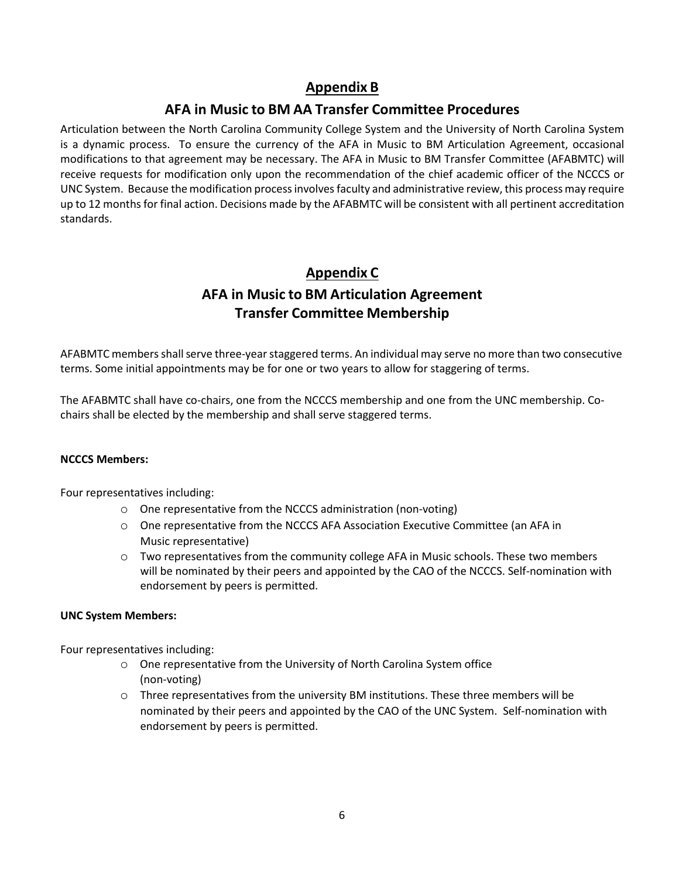# **Appendix B**

# **AFA in Music to BM AA Transfer Committee Procedures**

Articulation between the North Carolina Community College System and the University of North Carolina System is a dynamic process. To ensure the currency of the AFA in Music to BM Articulation Agreement, occasional modifications to that agreement may be necessary. The AFA in Music to BM Transfer Committee (AFABMTC) will receive requests for modification only upon the recommendation of the chief academic officer of the NCCCS or UNC System. Because the modification process involvesfaculty and administrative review, this process may require up to 12 monthsfor final action. Decisions made by the AFABMTC will be consistent with all pertinent accreditation standards.

# **Appendix C AFA in Music to BM Articulation Agreement Transfer Committee Membership**

AFABMTC members shall serve three-year staggered terms. An individual may serve no more than two consecutive terms. Some initial appointments may be for one or two years to allow for staggering of terms.

The AFABMTC shall have co-chairs, one from the NCCCS membership and one from the UNC membership. Cochairs shall be elected by the membership and shall serve staggered terms.

### **NCCCS Members:**

Four representatives including:

- o One representative from the NCCCS administration (non-voting)
- o One representative from the NCCCS AFA Association Executive Committee (an AFA in Music representative)
- o Two representatives from the community college AFA in Music schools. These two members will be nominated by their peers and appointed by the CAO of the NCCCS. Self-nomination with endorsement by peers is permitted.

### **UNC System Members:**

Four representatives including:

- o One representative from the University of North Carolina System office (non-voting)
- o Three representatives from the university BM institutions. These three members will be nominated by their peers and appointed by the CAO of the UNC System. Self-nomination with endorsement by peers is permitted.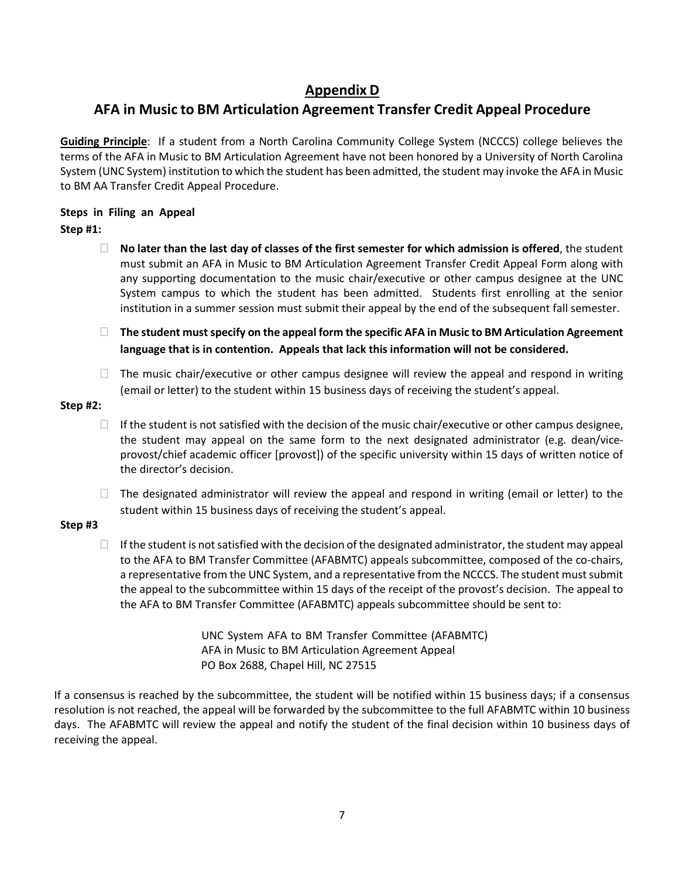# **Appendix D**

# **AFA in Music to BM Articulation Agreement Transfer Credit Appeal Procedure**

**Guiding Principle**: If a student from a North Carolina Community College System (NCCCS) college believes the terms of the AFA in Music to BM Articulation Agreement have not been honored by a University of North Carolina System (UNC System) institution to which the student has been admitted, the student may invoke the AFA in Music to BM AA Transfer Credit Appeal Procedure.

### **Steps in Filing an Appeal**

### **Step #1:**

- **No later than the last day of classes of the first semester for which admission is offered**, the student must submit an AFA in Music to BM Articulation Agreement Transfer Credit Appeal Form along with any supporting documentation to the music chair/executive or other campus designee at the UNC System campus to which the student has been admitted. Students first enrolling at the senior institution in a summer session must submit their appeal by the end of the subsequent fall semester.
- **The student must specify on the appeal form the specific AFA in Music to BM Articulation Agreement language that is in contention. Appeals that lack this information will not be considered.**
- $\Box$  The music chair/executive or other campus designee will review the appeal and respond in writing (email or letter) to the student within 15 business days of receiving the student's appeal.

### **Step #2:**

- $\Box$  If the student is not satisfied with the decision of the music chair/executive or other campus designee, the student may appeal on the same form to the next designated administrator (e.g. dean/viceprovost/chief academic officer [provost]) of the specific university within 15 days of written notice of the director's decision.
- $\Box$  The designated administrator will review the appeal and respond in writing (email or letter) to the student within 15 business days of receiving the student's appeal.

### **Step #3**

 $\Box$  If the student is not satisfied with the decision of the designated administrator, the student may appeal to the AFA to BM Transfer Committee (AFABMTC) appeals subcommittee, composed of the co-chairs, a representative from the UNC System, and a representative from the NCCCS. The student must submit the appeal to the subcommittee within 15 days of the receipt of the provost's decision. The appeal to the AFA to BM Transfer Committee (AFABMTC) appeals subcommittee should be sent to:

> UNC System AFA to BM Transfer Committee (AFABMTC) AFA in Music to BM Articulation Agreement Appeal PO Box 2688, Chapel Hill, NC 27515

If a consensus is reached by the subcommittee, the student will be notified within 15 business days; if a consensus resolution is not reached, the appeal will be forwarded by the subcommittee to the full AFABMTC within 10 business days. The AFABMTC will review the appeal and notify the student of the final decision within 10 business days of receiving the appeal.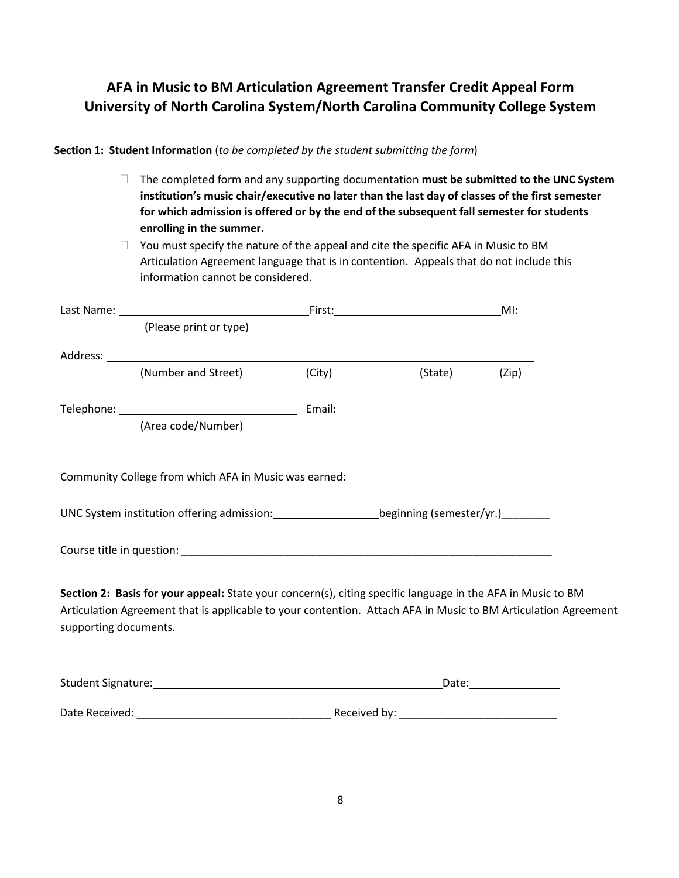# **AFA in Music to BM Articulation Agreement Transfer Credit Appeal Form University of North Carolina System/North Carolina Community College System**

### **Section 1: Student Information** (*to be completed by the student submitting the form*)

 The completed form and any supporting documentation **must be submitted to the UNC System institution's music chair/executive no later than the last day of classes of the first semester for which admission is offered or by the end of the subsequent fall semester for students enrolling in the summer.**

 $\Box$  You must specify the nature of the appeal and cite the specific AFA in Music to BM Articulation Agreement language that is in contention. Appeals that do not include this information cannot be considered.

|                       |                                                                                                                                                                                                                               |        |         | MI:   |
|-----------------------|-------------------------------------------------------------------------------------------------------------------------------------------------------------------------------------------------------------------------------|--------|---------|-------|
|                       | (Please print or type)                                                                                                                                                                                                        |        |         |       |
|                       |                                                                                                                                                                                                                               |        |         |       |
|                       | (Number and Street)                                                                                                                                                                                                           | (City) | (State) | (Zip) |
|                       | (Area code/Number)                                                                                                                                                                                                            | Email: |         |       |
|                       | Community College from which AFA in Music was earned:<br>UNC System institution offering admission: ______________________beginning (semester/yr.)_________                                                                   |        |         |       |
|                       |                                                                                                                                                                                                                               |        |         |       |
| supporting documents. | Section 2: Basis for your appeal: State your concern(s), citing specific language in the AFA in Music to BM<br>Articulation Agreement that is applicable to your contention. Attach AFA in Music to BM Articulation Agreement |        |         |       |

| Student Signature: | Date:        |
|--------------------|--------------|
|                    |              |
| Date Received:     | Received by: |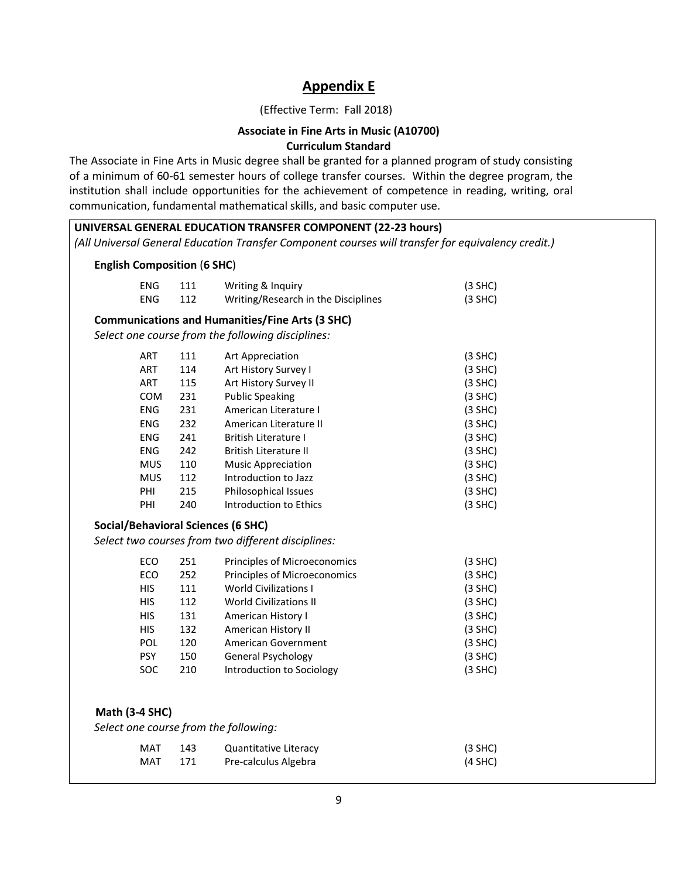## **Appendix E**

### (Effective Term: Fall 2018)

### **Associate in Fine Arts in Music (A10700) Curriculum Standard**

The Associate in Fine Arts in Music degree shall be granted for a planned program of study consisting of a minimum of 60-61 semester hours of college transfer courses. Within the degree program, the institution shall include opportunities for the achievement of competence in reading, writing, oral communication, fundamental mathematical skills, and basic computer use.

| <b>English Composition (6 SHC)</b>                             |     |                                                        |           |
|----------------------------------------------------------------|-----|--------------------------------------------------------|-----------|
| ENG                                                            | 111 | Writing & Inquiry                                      | $(3$ SHC) |
| <b>ENG</b>                                                     | 112 | Writing/Research in the Disciplines                    | $(3$ SHC) |
|                                                                |     | <b>Communications and Humanities/Fine Arts (3 SHC)</b> |           |
|                                                                |     | Select one course from the following disciplines:      |           |
| ART                                                            | 111 | Art Appreciation                                       | $(3$ SHC) |
| ART                                                            | 114 | Art History Survey I                                   | $(3$ SHC) |
| ART                                                            | 115 | Art History Survey II                                  | $(3$ SHC) |
| <b>COM</b>                                                     | 231 | <b>Public Speaking</b>                                 | $(3$ SHC) |
| <b>ENG</b>                                                     | 231 | American Literature I                                  | $(3$ SHC) |
| ENG                                                            | 232 | American Literature II                                 | $(3$ SHC) |
| ENG                                                            | 241 | <b>British Literature I</b>                            | $(3$ SHC) |
| <b>ENG</b>                                                     | 242 | <b>British Literature II</b>                           | $(3$ SHC) |
| <b>MUS</b>                                                     | 110 | <b>Music Appreciation</b>                              | $(3$ SHC) |
| <b>MUS</b>                                                     | 112 | Introduction to Jazz                                   | $(3$ SHC) |
| PHI                                                            | 215 | Philosophical Issues                                   | $(3$ SHC) |
| PHI                                                            | 240 | Introduction to Ethics                                 | $(3$ SHC) |
| <b>Social/Behavioral Sciences (6 SHC)</b>                      |     |                                                        |           |
|                                                                |     | Select two courses from two different disciplines:     |           |
|                                                                |     |                                                        |           |
| ECO                                                            | 251 | Principles of Microeconomics                           | $(3$ SHC) |
| ECO                                                            | 252 | Principles of Microeconomics                           | $(3$ SHC) |
| <b>HIS</b>                                                     | 111 | <b>World Civilizations I</b>                           | $(3$ SHC) |
| <b>HIS</b>                                                     | 112 | <b>World Civilizations II</b>                          | $(3$ SHC) |
| <b>HIS</b>                                                     | 131 | American History I                                     | $(3$ SHC) |
| <b>HIS</b>                                                     | 132 | American History II                                    | $(3$ SHC) |
| POL                                                            | 120 | American Government                                    | $(3$ SHC) |
| <b>PSY</b>                                                     | 150 | General Psychology                                     | $(3$ SHC) |
| SOC                                                            | 210 | Introduction to Sociology                              | $(3$ SHC) |
|                                                                |     |                                                        |           |
|                                                                |     |                                                        |           |
| <b>Math (3-4 SHC)</b><br>Select one course from the following: |     |                                                        |           |
| MAT                                                            | 143 | <b>Quantitative Literacy</b>                           | $(3$ SHC) |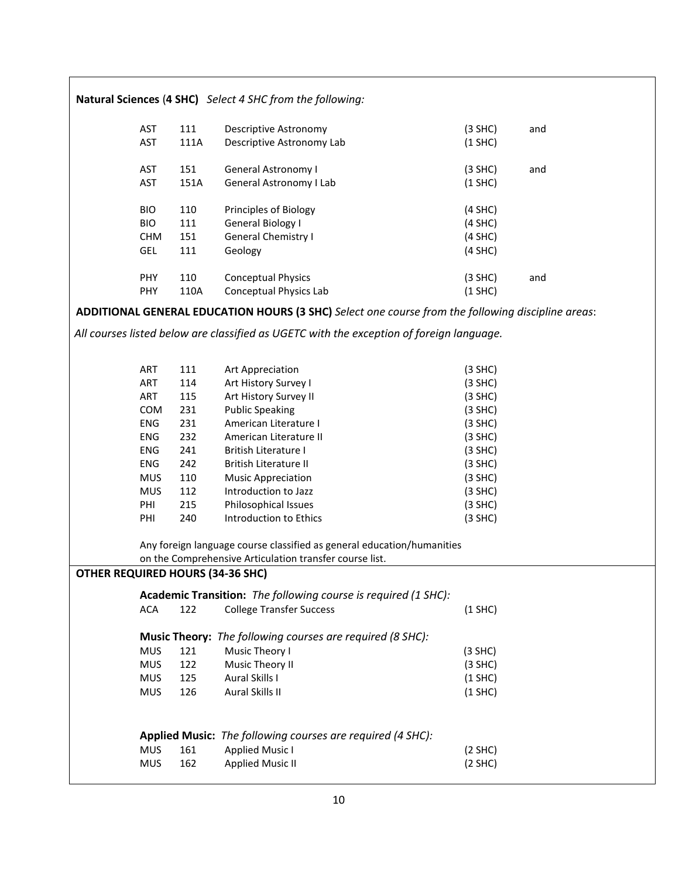| Natural Sciences (4 SHC) Select 4 SHC from the following: |            |      |                                                                                                   |           |     |
|-----------------------------------------------------------|------------|------|---------------------------------------------------------------------------------------------------|-----------|-----|
|                                                           |            |      |                                                                                                   |           |     |
|                                                           | <b>AST</b> | 111  | Descriptive Astronomy                                                                             | $(3$ SHC) | and |
|                                                           | <b>AST</b> | 111A | Descriptive Astronomy Lab                                                                         | $(1$ SHC) |     |
|                                                           | <b>AST</b> | 151  | General Astronomy I                                                                               | $(3$ SHC) | and |
|                                                           | AST        | 151A | General Astronomy I Lab                                                                           | $(1$ SHC) |     |
|                                                           |            |      |                                                                                                   |           |     |
|                                                           | <b>BIO</b> | 110  | Principles of Biology                                                                             | $(4$ SHC) |     |
|                                                           | <b>BIO</b> | 111  | General Biology I                                                                                 | $(4$ SHC) |     |
|                                                           | <b>CHM</b> | 151  | <b>General Chemistry I</b>                                                                        | $(4$ SHC) |     |
|                                                           | GEL        | 111  | Geology                                                                                           | $(4$ SHC) |     |
|                                                           | <b>PHY</b> | 110  | <b>Conceptual Physics</b>                                                                         | $(3$ SHC) | and |
|                                                           | <b>PHY</b> | 110A | Conceptual Physics Lab                                                                            | $(1$ SHC) |     |
|                                                           |            |      | ADDITIONAL GENERAL EDUCATION HOURS (3 SHC) Select one course from the following discipline areas: |           |     |
|                                                           |            |      |                                                                                                   |           |     |
|                                                           |            |      | All courses listed below are classified as UGETC with the exception of foreign language.          |           |     |
|                                                           |            |      |                                                                                                   |           |     |
|                                                           | ART        | 111  | Art Appreciation                                                                                  | $(3$ SHC) |     |
|                                                           | ART        | 114  | Art History Survey I                                                                              | $(3$ SHC) |     |
|                                                           | ART        | 115  | Art History Survey II                                                                             | $(3$ SHC) |     |
|                                                           | COM        | 231  | <b>Public Speaking</b>                                                                            | $(3$ SHC) |     |
|                                                           | ENG        | 231  | American Literature I                                                                             | $(3$ SHC) |     |
|                                                           | <b>ENG</b> | 232  | American Literature II                                                                            | $(3$ SHC) |     |
|                                                           | ENG        | 241  | <b>British Literature I</b>                                                                       | $(3$ SHC) |     |
|                                                           | ENG        | 242  | British Literature II                                                                             | $(3$ SHC) |     |
|                                                           | <b>MUS</b> | 110  | <b>Music Appreciation</b>                                                                         | $(3$ SHC) |     |
|                                                           | <b>MUS</b> | 112  | Introduction to Jazz                                                                              | $(3$ SHC) |     |
|                                                           | PHI        | 215  | Philosophical Issues                                                                              | $(3$ SHC) |     |
|                                                           | PHI        | 240  | Introduction to Ethics                                                                            | $(3$ SHC) |     |
|                                                           |            |      | Any foreign language course classified as general education/humanities                            |           |     |
|                                                           |            |      | on the Comprehensive Articulation transfer course list.                                           |           |     |
| <b>OTHER REQUIRED HOURS (34-36 SHC)</b>                   |            |      |                                                                                                   |           |     |
|                                                           |            |      | Academic Transition: The following course is required (1 SHC):                                    |           |     |
|                                                           | <b>ACA</b> | 122  | <b>College Transfer Success</b>                                                                   | $(1$ SHC) |     |
|                                                           |            |      | <b>Music Theory:</b> The following courses are required (8 SHC):                                  |           |     |
|                                                           | <b>MUS</b> | 121  | Music Theory I                                                                                    | $(3$ SHC) |     |
|                                                           | <b>MUS</b> | 122  | Music Theory II                                                                                   | $(3$ SHC) |     |
|                                                           | <b>MUS</b> | 125  | Aural Skills I                                                                                    | $(1$ SHC) |     |
|                                                           | <b>MUS</b> | 126  | Aural Skills II                                                                                   | $(1$ SHC) |     |
|                                                           |            |      |                                                                                                   |           |     |
|                                                           |            |      |                                                                                                   |           |     |
|                                                           |            |      | Applied Music: The following courses are required (4 SHC):                                        |           |     |
|                                                           | <b>MUS</b> | 161  | <b>Applied Music I</b>                                                                            | (2 SHC)   |     |
|                                                           | <b>MUS</b> | 162  | <b>Applied Music II</b>                                                                           | (2 SHC)   |     |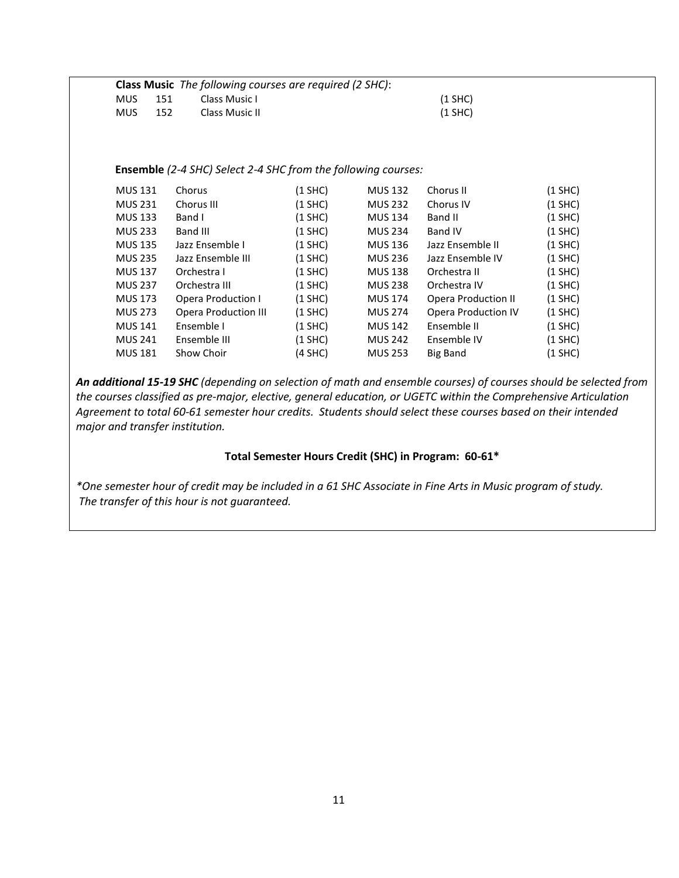|            |     | <b>Class Music</b> The following courses are required (2 SHC): |           |  |
|------------|-----|----------------------------------------------------------------|-----------|--|
| <b>MUS</b> | 151 | Class Music L                                                  | $(1$ SHC) |  |
| <b>MUS</b> | 152 | Class Music II                                                 | (1 SHC)   |  |

#### **Ensemble** *(2-4 SHC) Select 2-4 SHC from the following courses:*

| <b>MUS 131</b> | Chorus                      | (1 SHC) | <b>MUS 132</b> | Chorus II                  | (1 SHC)   |
|----------------|-----------------------------|---------|----------------|----------------------------|-----------|
| <b>MUS 231</b> | Chorus III                  | (1 SHC) | <b>MUS 232</b> | Chorus IV                  | $(1$ SHC) |
| <b>MUS 133</b> | Band I                      | (1 SHC) | <b>MUS 134</b> | Band II                    | $(1$ SHC) |
| <b>MUS 233</b> | Band III                    | (1 SHC) | <b>MUS 234</b> | <b>Band IV</b>             | $(1$ SHC) |
| <b>MUS 135</b> | Jazz Ensemble I             | (1 SHC) | MUS 136        | Jazz Ensemble II           | $(1$ SHC) |
| <b>MUS 235</b> | Jazz Ensemble III           | (1 SHC) | <b>MUS 236</b> | Jazz Ensemble IV           | $(1$ SHC) |
| <b>MUS 137</b> | Orchestra I                 | (1 SHC) | <b>MUS 138</b> | Orchestra II               | $(1$ SHC) |
| <b>MUS 237</b> | Orchestra III               | (1 SHC) | <b>MUS 238</b> | Orchestra IV               | $(1$ SHC) |
| <b>MUS 173</b> | Opera Production I          | (1 SHC) | <b>MUS 174</b> | <b>Opera Production II</b> | $(1$ SHC) |
| <b>MUS 273</b> | <b>Opera Production III</b> | (1 SHC) | <b>MUS 274</b> | <b>Opera Production IV</b> | $(1$ SHC) |
| <b>MUS 141</b> | Ensemble I                  | (1 SHC) | <b>MUS 142</b> | Ensemble II                | $(1$ SHC) |
| <b>MUS 241</b> | Ensemble III                | (1 SHC) | <b>MUS 242</b> | Ensemble IV                | $(1$ SHC) |
| <b>MUS 181</b> | Show Choir                  | (4 SHC) | <b>MUS 253</b> | Big Band                   | (1 SHC)   |
|                |                             |         |                |                            |           |

*An additional 15-19 SHC (depending on selection of math and ensemble courses) of courses should be selected from the courses classified as pre-major, elective, general education, or UGETC within the Comprehensive Articulation Agreement to total 60-61 semester hour credits. Students should select these courses based on their intended major and transfer institution.*

### **Total Semester Hours Credit (SHC) in Program: 60-61\***

*\*One semester hour of credit may be included in a 61 SHC Associate in Fine Arts in Music program of study. The transfer of this hour is not guaranteed.*